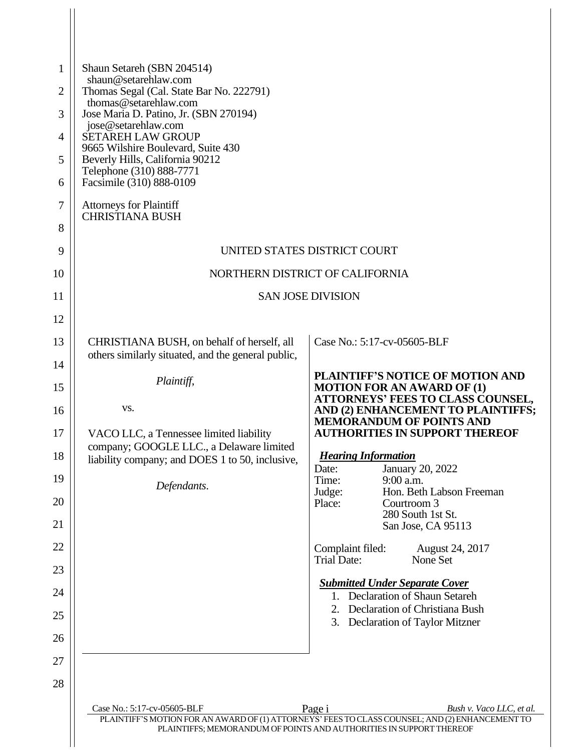| $\mathbf{1}$   | Shaun Setareh (SBN 204514)<br>shaun@setarehlaw.com                                               |                                                                                                                                                                                                              |  |
|----------------|--------------------------------------------------------------------------------------------------|--------------------------------------------------------------------------------------------------------------------------------------------------------------------------------------------------------------|--|
| $\overline{2}$ | Thomas Segal (Cal. State Bar No. 222791)<br>thomas@setarehlaw.com                                |                                                                                                                                                                                                              |  |
| 3              | Jose Maria D. Patino, Jr. (SBN 270194)<br>jose@setarehlaw.com                                    |                                                                                                                                                                                                              |  |
| 4              | <b>SETAREH LAW GROUP</b><br>9665 Wilshire Boulevard, Suite 430                                   |                                                                                                                                                                                                              |  |
| 5<br>6         | Beverly Hills, California 90212<br>Telephone (310) 888-7771<br>Facsimile (310) 888-0109          |                                                                                                                                                                                                              |  |
| 7              | <b>Attorneys for Plaintiff</b>                                                                   |                                                                                                                                                                                                              |  |
| 8              | <b>CHRISTIANA BUSH</b>                                                                           |                                                                                                                                                                                                              |  |
| 9              |                                                                                                  | UNITED STATES DISTRICT COURT                                                                                                                                                                                 |  |
| 10             | NORTHERN DISTRICT OF CALIFORNIA                                                                  |                                                                                                                                                                                                              |  |
| 11             | <b>SAN JOSE DIVISION</b>                                                                         |                                                                                                                                                                                                              |  |
| 12             |                                                                                                  |                                                                                                                                                                                                              |  |
| 13             | CHRISTIANA BUSH, on behalf of herself, all<br>others similarly situated, and the general public, | Case No.: 5:17-cv-05605-BLF                                                                                                                                                                                  |  |
| 14<br>15       | Plaintiff,                                                                                       | PLAINTIFF'S NOTICE OF MOTION AND<br><b>MOTION FOR AN AWARD OF (1)</b>                                                                                                                                        |  |
| 16             | VS.                                                                                              | ATTORNEYS' FEES TO CLASS COUNSEL,<br>AND (2) ENHANCEMENT TO PLAINTIFFS;                                                                                                                                      |  |
| 17             | VACO LLC, a Tennessee limited liability                                                          | <b>MEMORANDUM OF POINTS AND</b><br><b>AUTHORITIES IN SUPPORT THEREOF</b>                                                                                                                                     |  |
| 18             | company; GOOGLE LLC., a Delaware limited<br>liability company; and DOES 1 to 50, inclusive,      | <b>Hearing Information</b><br>January 20, 2022<br>Date:                                                                                                                                                      |  |
| 19             | Defendants.                                                                                      | Time:<br>9:00 a.m.<br>Hon. Beth Labson Freeman<br>Judge:                                                                                                                                                     |  |
| 20             |                                                                                                  | Place:<br>Courtroom 3<br>280 South 1st St.                                                                                                                                                                   |  |
| 21             |                                                                                                  | San Jose, CA 95113                                                                                                                                                                                           |  |
| 22             |                                                                                                  | Complaint filed:<br>August 24, 2017<br><b>Trial Date:</b><br>None Set                                                                                                                                        |  |
| 23             |                                                                                                  | <b>Submitted Under Separate Cover</b>                                                                                                                                                                        |  |
| 24             |                                                                                                  | 1. Declaration of Shaun Setareh<br>2. Declaration of Christiana Bush                                                                                                                                         |  |
| 25             |                                                                                                  | 3. Declaration of Taylor Mitzner                                                                                                                                                                             |  |
| 26             |                                                                                                  |                                                                                                                                                                                                              |  |
| 27<br>28       |                                                                                                  |                                                                                                                                                                                                              |  |
|                |                                                                                                  |                                                                                                                                                                                                              |  |
|                | Case No.: 5:17-cv-05605-BLF                                                                      | Page i<br>Bush v. Vaco LLC, et al.<br>PLAINTIFF'S MOTION FOR AN AWARD OF (1) ATTORNEYS' FEES TO CLASS COUNSEL; AND (2) ENHANCEMENT TO<br>PLAINTIFFS; MEMORANDUM OF POINTS AND AUTHORITIES IN SUPPORT THEREOF |  |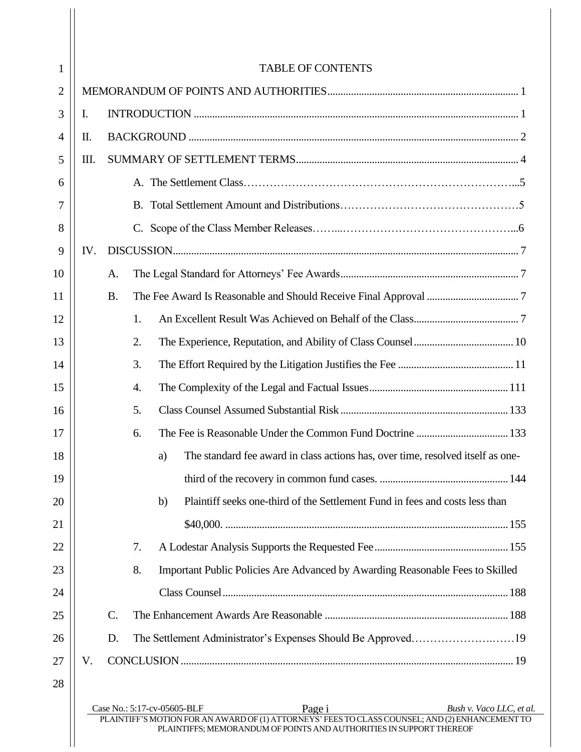| 1              |     |           | <b>TABLE OF CONTENTS</b>                                                                                                                 |                          |  |
|----------------|-----|-----------|------------------------------------------------------------------------------------------------------------------------------------------|--------------------------|--|
| $\overline{2}$ |     |           |                                                                                                                                          |                          |  |
| 3              | Ι.  |           |                                                                                                                                          |                          |  |
| $\overline{4}$ | II. |           |                                                                                                                                          |                          |  |
| 5              | Ш.  |           |                                                                                                                                          |                          |  |
| 6              |     |           |                                                                                                                                          |                          |  |
| 7              |     |           |                                                                                                                                          |                          |  |
| 8              |     |           |                                                                                                                                          |                          |  |
| 9              | IV. |           |                                                                                                                                          |                          |  |
| 10             |     | A.        |                                                                                                                                          |                          |  |
| 11             |     | <b>B.</b> |                                                                                                                                          |                          |  |
| 12             |     |           | 1.                                                                                                                                       |                          |  |
| 13             |     |           | 2.                                                                                                                                       |                          |  |
| 14             |     |           | 3.                                                                                                                                       |                          |  |
| 15             |     |           | 4.                                                                                                                                       |                          |  |
| 16             |     |           | 5.                                                                                                                                       |                          |  |
| 17             |     |           | The Fee is Reasonable Under the Common Fund Doctrine  133<br>6.                                                                          |                          |  |
| 18             |     |           | The standard fee award in class actions has, over time, resolved itself as one-<br>a)                                                    |                          |  |
| 19             |     |           |                                                                                                                                          |                          |  |
| 20             |     |           | Plaintiff seeks one-third of the Settlement Fund in fees and costs less than<br>b)                                                       |                          |  |
| 21             |     |           |                                                                                                                                          |                          |  |
| 22             |     |           | 7.                                                                                                                                       |                          |  |
| 23             |     |           | 8.<br>Important Public Policies Are Advanced by Awarding Reasonable Fees to Skilled                                                      |                          |  |
| 24             |     |           |                                                                                                                                          |                          |  |
| 25             |     | $C$ .     |                                                                                                                                          |                          |  |
| 26             |     | D.        | The Settlement Administrator's Expenses Should Be Approved19                                                                             |                          |  |
| 27             | V.  |           |                                                                                                                                          |                          |  |
| 28             |     |           |                                                                                                                                          |                          |  |
|                |     |           | Page i<br>Case No.: 5:17-cv-05605-BLF<br>PLAINTIFF'S MOTION FOR AN AWARD OF (1) ATTORNEYS' FEES TO CLASS COUNSEL; AND (2) ENHANCEMENT TO | Bush v. Vaco LLC, et al. |  |
|                |     |           | PLAINTIFFS; MEMORANDUM OF POINTS AND AUTHORITIES IN SUPPORT THEREOF                                                                      |                          |  |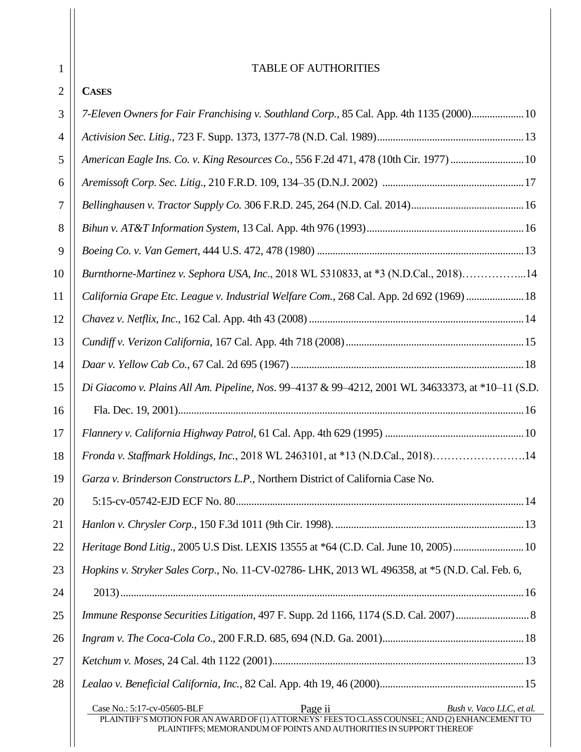| 1              | <b>TABLE OF AUTHORITIES</b>                                                                                                                                                                                                                  |  |  |
|----------------|----------------------------------------------------------------------------------------------------------------------------------------------------------------------------------------------------------------------------------------------|--|--|
| $\overline{2}$ | <b>CASES</b>                                                                                                                                                                                                                                 |  |  |
| 3              |                                                                                                                                                                                                                                              |  |  |
|                | 7-Eleven Owners for Fair Franchising v. Southland Corp., 85 Cal. App. 4th 1135 (2000) 10                                                                                                                                                     |  |  |
| 4              |                                                                                                                                                                                                                                              |  |  |
| 5              | American Eagle Ins. Co. v. King Resources Co., 556 F.2d 471, 478 (10th Cir. 1977) 10                                                                                                                                                         |  |  |
| 6              |                                                                                                                                                                                                                                              |  |  |
| 7              |                                                                                                                                                                                                                                              |  |  |
| 8              |                                                                                                                                                                                                                                              |  |  |
| 9              |                                                                                                                                                                                                                                              |  |  |
| 10             | Burnthorne-Martinez v. Sephora USA, Inc., 2018 WL 5310833, at *3 (N.D.Cal., 2018)14                                                                                                                                                          |  |  |
| 11             | California Grape Etc. League v. Industrial Welfare Com., 268 Cal. App. 2d 692 (1969)  18                                                                                                                                                     |  |  |
| 12             |                                                                                                                                                                                                                                              |  |  |
| 13             |                                                                                                                                                                                                                                              |  |  |
| 14             |                                                                                                                                                                                                                                              |  |  |
| 15             | Di Giacomo v. Plains All Am. Pipeline, Nos. 99–4137 & 99–4212, 2001 WL 34633373, at *10–11 (S.D.                                                                                                                                             |  |  |
| 16             |                                                                                                                                                                                                                                              |  |  |
| 17             |                                                                                                                                                                                                                                              |  |  |
| 18             | Fronda v. Staffmark Holdings, Inc., 2018 WL 2463101, at *13 (N.D.Cal., 2018)14                                                                                                                                                               |  |  |
| 19             | Garza v. Brinderson Constructors L.P., Northern District of California Case No.                                                                                                                                                              |  |  |
| 20             |                                                                                                                                                                                                                                              |  |  |
| 21             |                                                                                                                                                                                                                                              |  |  |
| 22             | Heritage Bond Litig., 2005 U.S Dist. LEXIS 13555 at *64 (C.D. Cal. June 10, 2005)10                                                                                                                                                          |  |  |
| 23             | Hopkins v. Stryker Sales Corp., No. 11-CV-02786- LHK, 2013 WL 496358, at *5 (N.D. Cal. Feb. 6,                                                                                                                                               |  |  |
| 24             |                                                                                                                                                                                                                                              |  |  |
| 25             | Immune Response Securities Litigation, 497 F. Supp. 2d 1166, 1174 (S.D. Cal. 2007)                                                                                                                                                           |  |  |
| 26             |                                                                                                                                                                                                                                              |  |  |
| 27             |                                                                                                                                                                                                                                              |  |  |
| 28             |                                                                                                                                                                                                                                              |  |  |
|                | Page ii<br>Case No.: 5:17-cv-05605-BLF<br>Bush v. Vaco LLC, et al.<br>PLAINTIFF'S MOTION FOR AN AWARD OF (1) ATTORNEYS' FEES TO CLASS COUNSEL; AND (2) ENHANCEMENT TO<br>PLAINTIFFS; MEMORANDUM OF POINTS AND AUTHORITIES IN SUPPORT THEREOF |  |  |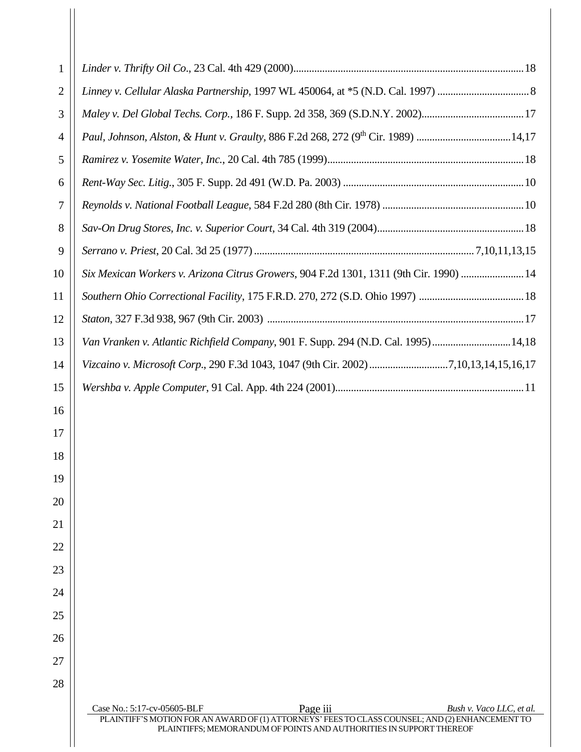| 1  |                                                                                                                                                                        |
|----|------------------------------------------------------------------------------------------------------------------------------------------------------------------------|
| 2  |                                                                                                                                                                        |
| 3  |                                                                                                                                                                        |
| 4  | Paul, Johnson, Alston, & Hunt v. Graulty, 886 F.2d 268, 272 (9th Cir. 1989) 14,17                                                                                      |
| 5  |                                                                                                                                                                        |
| 6  |                                                                                                                                                                        |
| 7  |                                                                                                                                                                        |
| 8  |                                                                                                                                                                        |
| 9  |                                                                                                                                                                        |
| 10 | Six Mexican Workers v. Arizona Citrus Growers, 904 F.2d 1301, 1311 (9th Cir. 1990)  14                                                                                 |
| 11 |                                                                                                                                                                        |
| 12 |                                                                                                                                                                        |
| 13 | Van Vranken v. Atlantic Richfield Company, 901 F. Supp. 294 (N.D. Cal. 1995)14,18                                                                                      |
| 14 | Vizcaino v. Microsoft Corp., 290 F.3d 1043, 1047 (9th Cir. 2002) 7,10,13,14,15,16,17                                                                                   |
| 15 |                                                                                                                                                                        |
| 16 |                                                                                                                                                                        |
| 17 |                                                                                                                                                                        |
| 18 |                                                                                                                                                                        |
| 19 |                                                                                                                                                                        |
| 20 |                                                                                                                                                                        |
| 21 |                                                                                                                                                                        |
| 22 |                                                                                                                                                                        |
| 23 |                                                                                                                                                                        |
| 24 |                                                                                                                                                                        |
| 25 |                                                                                                                                                                        |
| 26 |                                                                                                                                                                        |
| 27 |                                                                                                                                                                        |
| 28 |                                                                                                                                                                        |
|    | Page iii<br>Case No.: 5:17-cv-05605-BLF<br>Bush v. Vaco LLC, et al.                                                                                                    |
|    | PLAINTIFF'S MOTION FOR AN AWARD OF (1) ATTORNEYS' FEES TO CLASS COUNSEL; AND (2) ENHANCEMENT TO<br>PLAINTIFFS; MEMORANDUM OF POINTS AND AUTHORITIES IN SUPPORT THEREOF |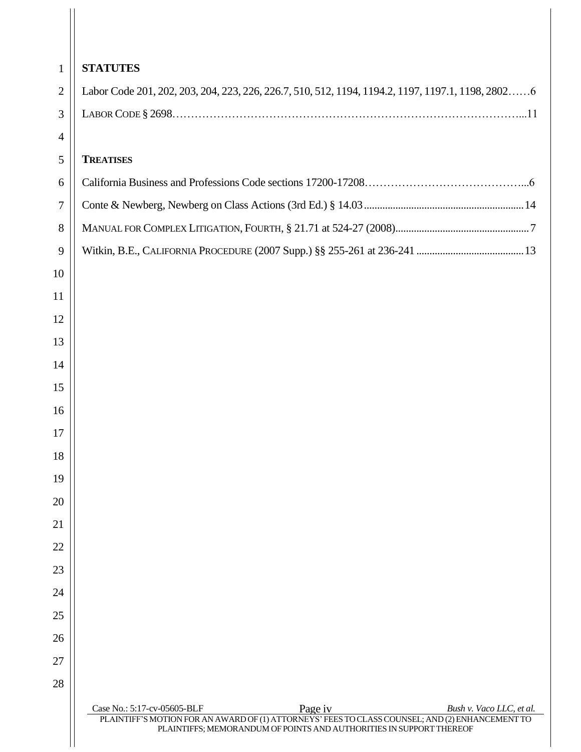| $\mathbf{1}$   | <b>STATUTES</b>                                                                                                                                                       |
|----------------|-----------------------------------------------------------------------------------------------------------------------------------------------------------------------|
| $\overline{2}$ | Labor Code 201, 202, 203, 204, 223, 226, 226.7, 510, 512, 1194, 1194.2, 1197, 1197.1, 1198, 28026                                                                     |
| 3              |                                                                                                                                                                       |
| $\overline{4}$ |                                                                                                                                                                       |
| 5              | <b>TREATISES</b>                                                                                                                                                      |
| 6              |                                                                                                                                                                       |
| 7              |                                                                                                                                                                       |
| 8              |                                                                                                                                                                       |
| 9              |                                                                                                                                                                       |
| 10             |                                                                                                                                                                       |
| 11             |                                                                                                                                                                       |
| 12             |                                                                                                                                                                       |
| 13             |                                                                                                                                                                       |
| 14             |                                                                                                                                                                       |
| 15             |                                                                                                                                                                       |
| 16             |                                                                                                                                                                       |
| 17             |                                                                                                                                                                       |
| 18             |                                                                                                                                                                       |
| 19             |                                                                                                                                                                       |
| 20             |                                                                                                                                                                       |
| 21             |                                                                                                                                                                       |
| 22             |                                                                                                                                                                       |
| 23             |                                                                                                                                                                       |
| 24             |                                                                                                                                                                       |
| 25             |                                                                                                                                                                       |
| 26             |                                                                                                                                                                       |
| 27             |                                                                                                                                                                       |
| 28             |                                                                                                                                                                       |
|                | Page iv<br>Case No.: 5:17-cv-05605-BLF<br>Bush v. Vaco LLC, et al.<br>PLAINTIFF'S MOTION FOR AN AWARD OF (1) ATTORNEYS' FEES TO CLASS COUNSEL; AND (2) ENHANCEMENT TO |
|                | PLAINTIFFS; MEMORANDUM OF POINTS AND AUTHORITIES IN SUPPORT THEREOF                                                                                                   |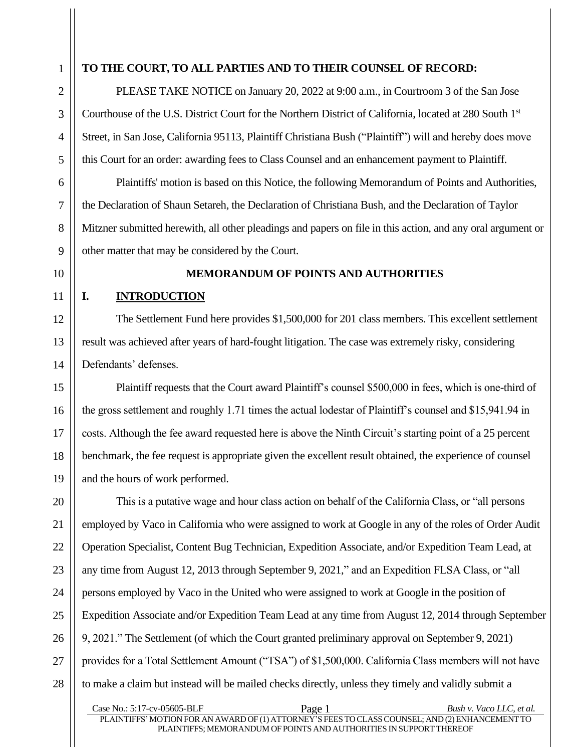# **TO THE COURT, TO ALL PARTIES AND TO THEIR COUNSEL OF RECORD:**

PLEASE TAKE NOTICE on January 20, 2022 at 9:00 a.m., in Courtroom 3 of the San Jose Courthouse of the U.S. District Court for the Northern District of California, located at 280 South 1st Street, in San Jose, California 95113, Plaintiff Christiana Bush ("Plaintiff") will and hereby does move this Court for an order: awarding fees to Class Counsel and an enhancement payment to Plaintiff.

Plaintiffs' motion is based on this Notice, the following Memorandum of Points and Authorities, the Declaration of Shaun Setareh, the Declaration of Christiana Bush, and the Declaration of Taylor Mitzner submitted herewith, all other pleadings and papers on file in this action, and any oral argument or other matter that may be considered by the Court.

#### **MEMORANDUM OF POINTS AND AUTHORITIES**

## <span id="page-5-0"></span>**I. INTRODUCTION**

The Settlement Fund here provides \$1,500,000 for 201 class members. This excellent settlement result was achieved after years of hard-fought litigation. The case was extremely risky, considering Defendants' defenses.

Plaintiff requests that the Court award Plaintiff's counsel \$500,000 in fees, which is one-third of the gross settlement and roughly 1.71 times the actual lodestar of Plaintiff's counsel and \$15,941.94 in costs. Although the fee award requested here is above the Ninth Circuit's starting point of a 25 percent benchmark, the fee request is appropriate given the excellent result obtained, the experience of counsel and the hours of work performed.

This is a putative wage and hour class action on behalf of the California Class, or "all persons employed by Vaco in California who were assigned to work at Google in any of the roles of Order Audit Operation Specialist, Content Bug Technician, Expedition Associate, and/or Expedition Team Lead, at any time from August 12, 2013 through September 9, 2021," and an Expedition FLSA Class, or "all persons employed by Vaco in the United who were assigned to work at Google in the position of Expedition Associate and/or Expedition Team Lead at any time from August 12, 2014 through September 9, 2021." The Settlement (of which the Court granted preliminary approval on September 9, 2021) provides for a Total Settlement Amount ("TSA") of \$1,500,000. California Class members will not have to make a claim but instead will be mailed checks directly, unless they timely and validly submit a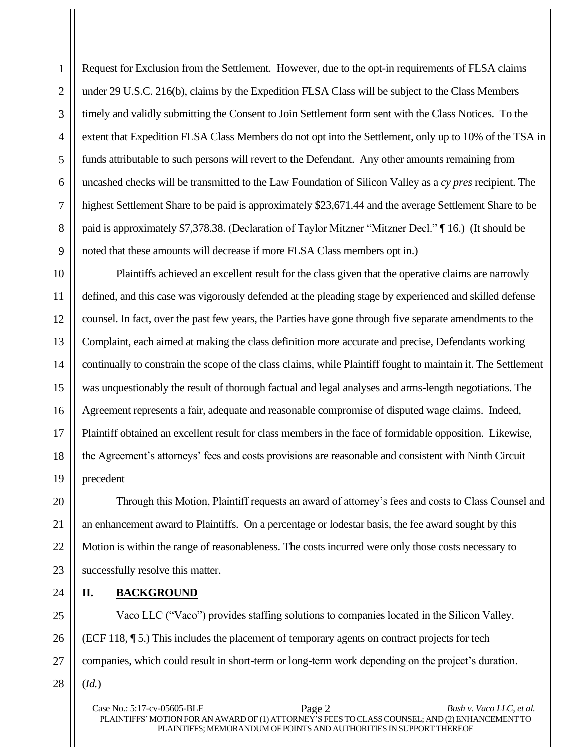Request for Exclusion from the Settlement. However, due to the opt-in requirements of FLSA claims under 29 U.S.C. 216(b), claims by the Expedition FLSA Class will be subject to the Class Members timely and validly submitting the Consent to Join Settlement form sent with the Class Notices. To the extent that Expedition FLSA Class Members do not opt into the Settlement, only up to 10% of the TSA in funds attributable to such persons will revert to the Defendant. Any other amounts remaining from uncashed checks will be transmitted to the Law Foundation of Silicon Valley as a *cy pres* recipient. The highest Settlement Share to be paid is approximately \$23,671.44 and the average Settlement Share to be paid is approximately \$7,378.38. (Declaration of Taylor Mitzner "Mitzner Decl." ¶ 16.) (It should be noted that these amounts will decrease if more FLSA Class members opt in.)

Plaintiffs achieved an excellent result for the class given that the operative claims are narrowly defined, and this case was vigorously defended at the pleading stage by experienced and skilled defense counsel. In fact, over the past few years, the Parties have gone through five separate amendments to the Complaint, each aimed at making the class definition more accurate and precise, Defendants working continually to constrain the scope of the class claims, while Plaintiff fought to maintain it. The Settlement was unquestionably the result of thorough factual and legal analyses and arms-length negotiations. The Agreement represents a fair, adequate and reasonable compromise of disputed wage claims. Indeed, Plaintiff obtained an excellent result for class members in the face of formidable opposition. Likewise, the Agreement's attorneys' fees and costs provisions are reasonable and consistent with Ninth Circuit precedent

Through this Motion, Plaintiff requests an award of attorney's fees and costs to Class Counsel and an enhancement award to Plaintiffs. On a percentage or lodestar basis, the fee award sought by this Motion is within the range of reasonableness. The costs incurred were only those costs necessary to successfully resolve this matter.

<span id="page-6-0"></span>**II. BACKGROUND**

Vaco LLC ("Vaco") provides staffing solutions to companies located in the Silicon Valley. (ECF 118, ¶ 5.) This includes the placement of temporary agents on contract projects for tech companies, which could result in short-term or long-term work depending on the project's duration. (*Id.*)

Case No.: 5:17-cv-05605-BLF Page 2 *Bush v. Vaco LLC, et al.* PLAINTIFFS' MOTION FOR AN AWARD OF (1) ATTORNEY'S FEES TO CLASS COUNSEL; AND (2) ENHANCEMENT TO PLAINTIFFS; MEMORANDUM OF POINTS AND AUTHORITIES IN SUPPORTTHEREOF

1 1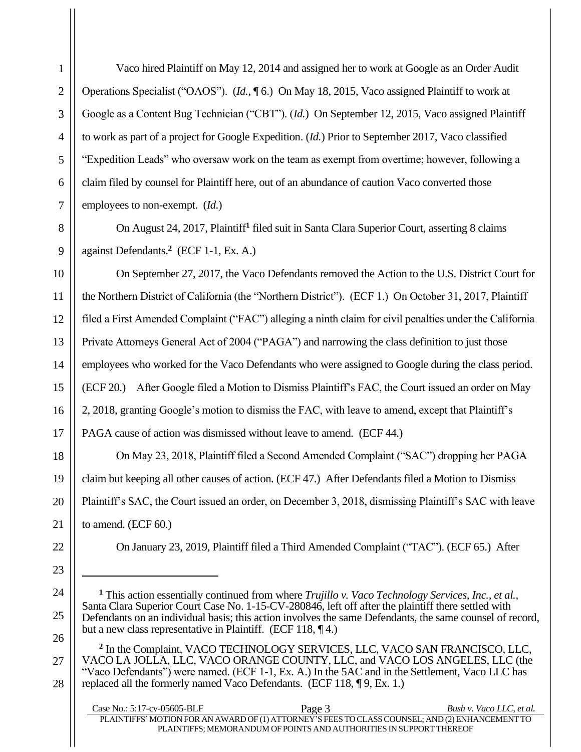Vaco hired Plaintiff on May 12, 2014 and assigned her to work at Google as an Order Audit Operations Specialist ("OAOS"). (*Id.*, ¶ 6.) On May 18, 2015, Vaco assigned Plaintiff to work at Google as a Content Bug Technician ("CBT"). (*Id.*) On September 12, 2015, Vaco assigned Plaintiff to work as part of a project for Google Expedition. (*Id.*) Prior to September 2017, Vaco classified "Expedition Leads" who oversaw work on the team as exempt from overtime; however, following a claim filed by counsel for Plaintiff here, out of an abundance of caution Vaco converted those employees to non-exempt. (*Id.*)

On August 24, 2017, Plaintiff**<sup>1</sup>** filed suit in Santa Clara Superior Court, asserting 8 claims against Defendants.**<sup>2</sup>** (ECF 1-1, Ex. A.)

On September 27, 2017, the Vaco Defendants removed the Action to the U.S. District Court for the Northern District of California (the "Northern District"). (ECF 1.) On October 31, 2017, Plaintiff filed a First Amended Complaint ("FAC") alleging a ninth claim for civil penalties under the California Private Attorneys General Act of 2004 ("PAGA") and narrowing the class definition to just those employees who worked for the Vaco Defendants who were assigned to Google during the class period. (ECF 20.) After Google filed a Motion to Dismiss Plaintiff's FAC, the Court issued an order on May 2, 2018, granting Google's motion to dismiss the FAC, with leave to amend, except that Plaintiff's PAGA cause of action was dismissed without leave to amend. (ECF 44.)

On May 23, 2018, Plaintiff filed a Second Amended Complaint ("SAC") dropping her PAGA claim but keeping all other causes of action. (ECF 47.) After Defendants filed a Motion to Dismiss Plaintiff's SAC, the Court issued an order, on December 3, 2018, dismissing Plaintiff's SAC with leave to amend. (ECF 60.)

On January 23, 2019, Plaintiff filed a Third Amended Complaint ("TAC"). (ECF 65.) After

**<sup>2</sup>** In the Complaint, VACO TECHNOLOGY SERVICES, LLC, VACO SAN FRANCISCO, LLC, VACO LA JOLLA, LLC, VACO ORANGE COUNTY, LLC, and VACO LOS ANGELES, LLC (the "Vaco Defendants") were named. (ECF 1-1, Ex. A.) In the 5AC and in the Settlement, Vaco LLC has replaced all the formerly named Vaco Defendants. (ECF 118, ¶ 9, Ex. 1.)

| Case No.: 5:17-cv-05605-BLF | Page 3                                                                                          | Bush v. Vaco LLC, et al. |
|-----------------------------|-------------------------------------------------------------------------------------------------|--------------------------|
|                             | PLAINTIFFS' MOTION FOR AN AWARD OF (1) ATTORNEY'S FEES TO CLASS COUNSEL; AND (2) ENHANCEMENT TO |                          |
|                             | PLAINTIFFS: MEMORANDUM OF POINTS AND AUTHORITIES IN SUPPORT THEREOF                             |                          |

**<sup>1</sup>** This action essentially continued from where *Trujillo v. Vaco Technology Services, Inc., et al.*, Santa Clara Superior Court Case No. 1-15-CV-280846, left off after the plaintiff there settled with Defendants on an individual basis; this action involves the same Defendants, the same counsel of record, but a new class representative in Plaintiff. (ECF 118, ¶ 4.)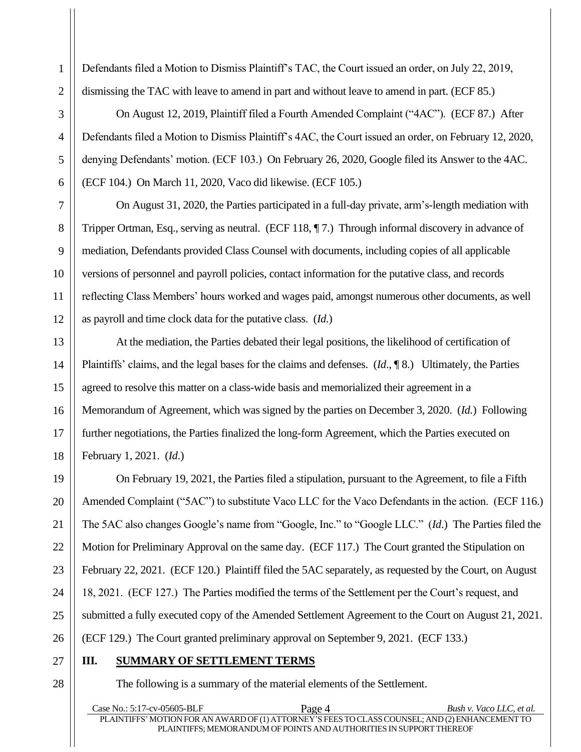Defendants filed a Motion to Dismiss Plaintiff's TAC, the Court issued an order, on July 22, 2019, dismissing the TAC with leave to amend in part and without leave to amend in part. (ECF 85.)

On August 12, 2019, Plaintiff filed a Fourth Amended Complaint ("4AC"). (ECF 87.) After Defendants filed a Motion to Dismiss Plaintiff's 4AC, the Court issued an order, on February 12, 2020, denying Defendants' motion. (ECF 103.) On February 26, 2020, Google filed its Answer to the 4AC. (ECF 104.) On March 11, 2020, Vaco did likewise. (ECF 105.)

On August 31, 2020, the Parties participated in a full-day private, arm's-length mediation with Tripper Ortman, Esq., serving as neutral. (ECF 118, ¶ 7.) Through informal discovery in advance of mediation, Defendants provided Class Counsel with documents, including copies of all applicable versions of personnel and payroll policies, contact information for the putative class, and records reflecting Class Members' hours worked and wages paid, amongst numerous other documents, as well as payroll and time clock data for the putative class. (*Id.*)

At the mediation, the Parties debated their legal positions, the likelihood of certification of Plaintiffs' claims, and the legal bases for the claims and defenses. (*Id*., ¶ 8.) Ultimately, the Parties agreed to resolve this matter on a class-wide basis and memorialized their agreement in a Memorandum of Agreement, which was signed by the parties on December 3, 2020. (*Id.*) Following further negotiations, the Parties finalized the long-form Agreement, which the Parties executed on February 1, 2021. (*Id*.)

On February 19, 2021, the Parties filed a stipulation, pursuant to the Agreement, to file a Fifth Amended Complaint ("5AC") to substitute Vaco LLC for the Vaco Defendants in the action. (ECF 116.) The 5AC also changes Google's name from "Google, Inc." to "Google LLC." (*Id*.) The Parties filed the Motion for Preliminary Approval on the same day. (ECF 117.) The Court granted the Stipulation on February 22, 2021. (ECF 120.) Plaintiff filed the 5AC separately, as requested by the Court, on August 18, 2021. (ECF 127.) The Parties modified the terms of the Settlement per the Court's request, and submitted a fully executed copy of the Amended Settlement Agreement to the Court on August 21, 2021. (ECF 129.) The Court granted preliminary approval on September 9, 2021. (ECF 133.)

# 27 27

28 28

1 1

2 2

3 3

4 4

5 5

6 6

7 7

8 8

9 9

10 10

11 11

12 12

13 13

14 14

15 15

16 16

17 17

18 18

19 19

20 20

21 21

22 22

23 23

24 24

25 25

26 26

# <span id="page-8-0"></span>**III. SUMMARY OF SETTLEMENT TERMS**

The following is a summary of the material elements of the Settlement.

Case No.: 5:17-cv-05605-BLF Page 4 *Bush v. Vaco LLC, et al.* PLAINTIFFS'MOTION FOR AN AWARD OF (1) ATTORNEY'S FEESTO CLASSCOUNSEL; AND (2)ENHANCEMENTTO PLAINTIFFS; MEMORANDUM OF POINTS AND AUTHORITIES IN SUPPORTTHEREOF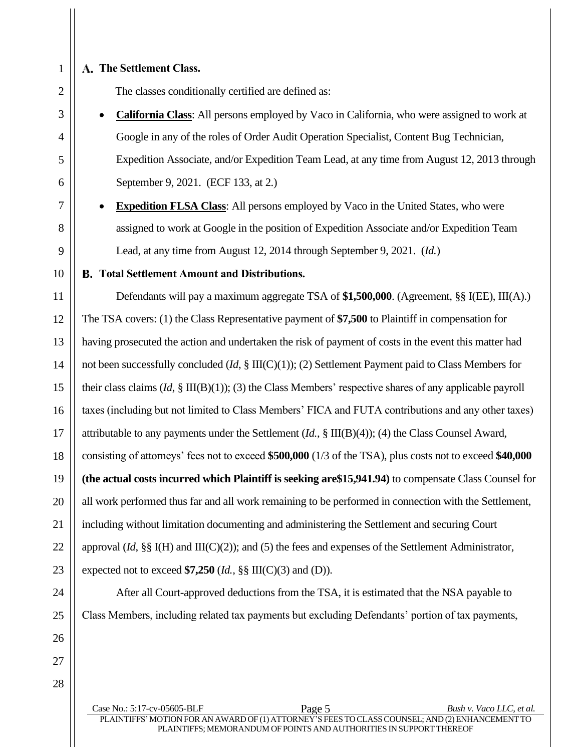# **The Settlement Class.**

The classes conditionally certified are defined as:

- **California Class**: All persons employed by Vaco in California, who were assigned to work at Google in any of the roles of Order Audit Operation Specialist, Content Bug Technician, Expedition Associate, and/or Expedition Team Lead, at any time from August 12, 2013 through September 9, 2021. (ECF 133, at 2.)
- **Expedition FLSA Class:** All persons employed by Vaco in the United States, who were assigned to work at Google in the position of Expedition Associate and/or Expedition Team Lead, at any time from August 12, 2014 through September 9, 2021. (*Id.*)

## **Total Settlement Amount and Distributions.**

Defendants will pay a maximum aggregate TSA of **\$1,500,000**. (Agreement, §§ I(EE), III(A).) The TSA covers: (1) the Class Representative payment of **\$7,500** to Plaintiff in compensation for having prosecuted the action and undertaken the risk of payment of costs in the event this matter had not been successfully concluded (*Id*, § III(C)(1)); (2) Settlement Payment paid to Class Members for their class claims (*Id*, § III(B)(1)); (3) the Class Members' respective shares of any applicable payroll taxes (including but not limited to Class Members' FICA and FUTA contributions and any other taxes) attributable to any payments under the Settlement (*Id.*, § III(B)(4)); (4) the Class Counsel Award, consisting of attorneys' fees not to exceed **\$500,000** (1/3 of the TSA), plus costs not to exceed **\$40,000 (the actual costs incurred which Plaintiff is seeking are\$15,941.94)** to compensate Class Counsel for all work performed thus far and all work remaining to be performed in connection with the Settlement, including without limitation documenting and administering the Settlement and securing Court approval (*Id*, §§ I(H) and III(C)(2)); and (5) the fees and expenses of the Settlement Administrator, expected not to exceed **\$7,250** (*Id.,* §§ III(C)(3) and (D)).

After all Court-approved deductions from the TSA, it is estimated that the NSA payable to Class Members, including related tax payments but excluding Defendants' portion of tax payments,

Case No.: 5:17-cv-05605-BLF Page 5 *Bush v. Vaco LLC, et al.* PLAINTIFFS' MOTION FOR AN AWARD OF (1) ATTORNEY'S FEES TO CLASS COUNSEL; AND (2) ENHANCEMENT TO PLAINTIFFS; MEMORANDUM OF POINTS AND AUTHORITIES IN SUPPORTTHEREOF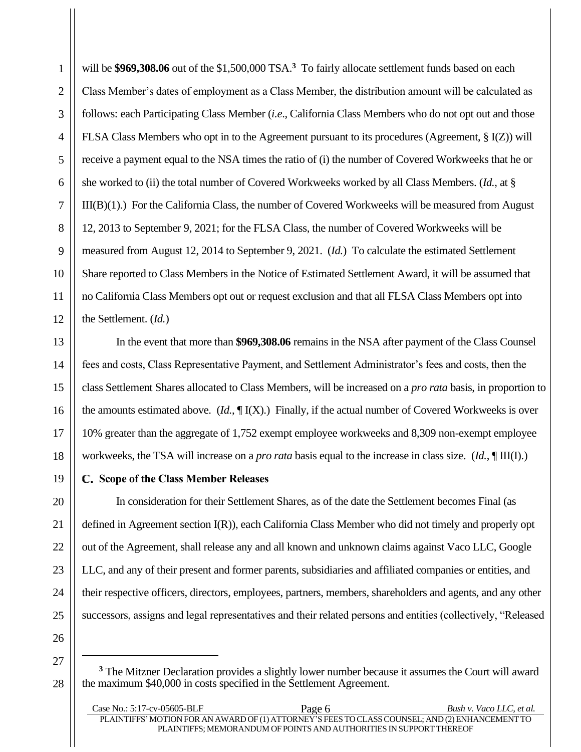will be \$969,308.06 out of the \$1,500,000 TSA.<sup>3</sup> To fairly allocate settlement funds based on each Class Member's dates of employment as a Class Member, the distribution amount will be calculated as follows: each Participating Class Member (*i.e*., California Class Members who do not opt out and those FLSA Class Members who opt in to the Agreement pursuant to its procedures (Agreement, § I(Z)) will receive a payment equal to the NSA times the ratio of (i) the number of Covered Workweeks that he or she worked to (ii) the total number of Covered Workweeks worked by all Class Members. (*Id.*, at § III(B)(1).) For the California Class, the number of Covered Workweeks will be measured from August 12, 2013 to September 9, 2021; for the FLSA Class, the number of Covered Workweeks will be measured from August 12, 2014 to September 9, 2021. (*Id.*) To calculate the estimated Settlement Share reported to Class Members in the Notice of Estimated Settlement Award, it will be assumed that no California Class Members opt out or request exclusion and that all FLSA Class Members opt into the Settlement. (*Id.*)

In the event that more than **\$969,308.06** remains in the NSA after payment of the Class Counsel fees and costs, Class Representative Payment, and Settlement Administrator's fees and costs, then the class Settlement Shares allocated to Class Members, will be increased on a *pro rata* basis, in proportion to the amounts estimated above. (*Id.*, ¶ I(X).) Finally, if the actual number of Covered Workweeks is over 10% greater than the aggregate of 1,752 exempt employee workweeks and 8,309 non-exempt employee workweeks, the TSA will increase on a *pro rata* basis equal to the increase in class size. (*Id.*, ¶ III(I).)

# **Scope of the Class Member Releases**

In consideration for their Settlement Shares, as of the date the Settlement becomes Final (as defined in Agreement section I(R)), each California Class Member who did not timely and properly opt out of the Agreement, shall release any and all known and unknown claims against Vaco LLC, Google LLC, and any of their present and former parents, subsidiaries and affiliated companies or entities, and their respective officers, directors, employees, partners, members, shareholders and agents, and any other successors, assigns and legal representatives and their related persons and entities (collectively, "Released

26 26

1 1

**<sup>3</sup>** The Mitzner Declaration provides a slightly lower number because it assumes the Court will award the maximum \$40,000 in costs specified in the Settlement Agreement.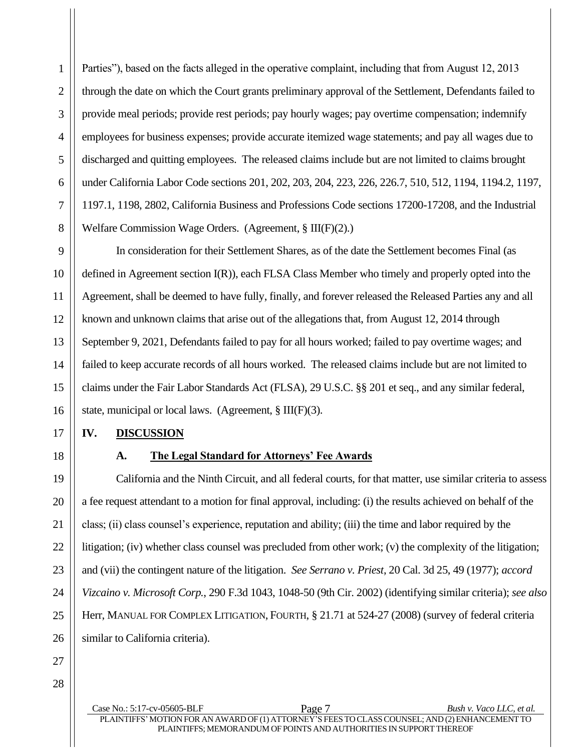Parties"), based on the facts alleged in the operative complaint, including that from August 12, 2013 through the date on which the Court grants preliminary approval of the Settlement, Defendants failed to provide meal periods; provide rest periods; pay hourly wages; pay overtime compensation; indemnify employees for business expenses; provide accurate itemized wage statements; and pay all wages due to discharged and quitting employees. The released claims include but are not limited to claims brought under California Labor Code sections 201, 202, 203, 204, 223, 226, 226.7, 510, 512, 1194, 1194.2, 1197, 1197.1, 1198, 2802, California Business and Professions Code sections 17200-17208, and the Industrial Welfare Commission Wage Orders. (Agreement, § III(F)(2).)

In consideration for their Settlement Shares, as of the date the Settlement becomes Final (as defined in Agreement section I(R)), each FLSA Class Member who timely and properly opted into the Agreement, shall be deemed to have fully, finally, and forever released the Released Parties any and all known and unknown claims that arise out of the allegations that, from August 12, 2014 through September 9, 2021, Defendants failed to pay for all hours worked; failed to pay overtime wages; and failed to keep accurate records of all hours worked. The released claims include but are not limited to claims under the Fair Labor Standards Act (FLSA), 29 U.S.C. §§ 201 et seq., and any similar federal, state, municipal or local laws. (Agreement, § III(F)(3).

## <span id="page-11-0"></span>**IV. DISCUSSION**

<span id="page-11-1"></span>

1 1

2 2

3 3

4 4

5 5

6 6

7 7

8 8

9 9

10 10

11 11

12 12

13 13

14 14

15 15

16 16

17 17

18 18

19 19

20 20

21 21

22 22

23 23

24 24

25 25

26 26

# **A. The Legal Standard for Attorneys' Fee Awards**

California and the Ninth Circuit, and all federal courts, for that matter, use similar criteria to assess a fee request attendant to a motion for final approval, including: (i) the results achieved on behalf of the class; (ii) class counsel's experience, reputation and ability; (iii) the time and labor required by the litigation; (iv) whether class counsel was precluded from other work; (v) the complexity of the litigation; and (vii) the contingent nature of the litigation. *See Serrano v. Priest*, 20 Cal. 3d 25, 49 (1977); *accord Vizcaino v. Microsoft Corp.*, 290 F.3d 1043, 1048-50 (9th Cir. 2002) (identifying similar criteria); *see also* Herr, MANUAL FOR COMPLEX LITIGATION, FOURTH, § 21.71 at 524-27 (2008) (survey of federal criteria similar to California criteria).

> Case No.: 5:17-cv-05605-BLF Page 7 *Bush v. Vaco LLC, et al.* PLAINTIFFS' MOTION FOR AN AWARD OF (1) ATTORNEY'S FEES TO CLASS COUNSEL; AND (2) ENHANCEMENT TO PLAINTIFFS; MEMORANDUM OF POINTS AND AUTHORITIES IN SUPPORTTHEREOF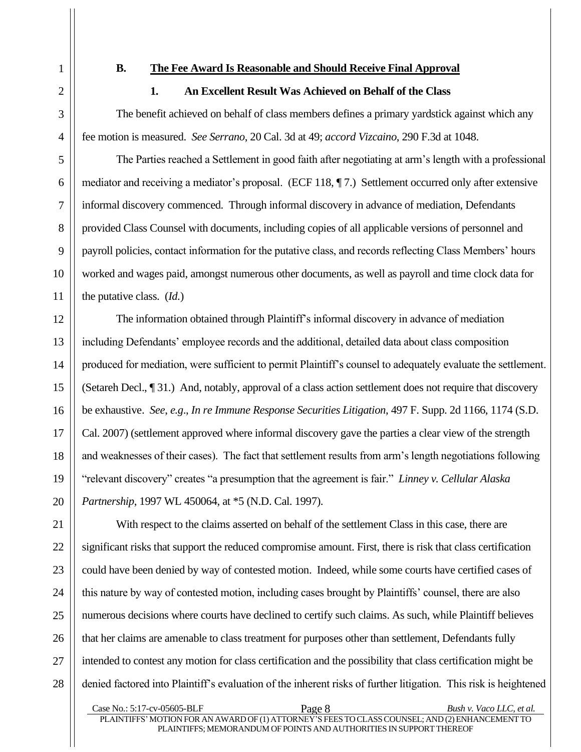#### <span id="page-12-0"></span>**B. The Fee Award Is Reasonable and Should Receive Final Approval**

## **1. An Excellent Result Was Achieved on Behalf of the Class**

<span id="page-12-1"></span>The benefit achieved on behalf of class members defines a primary yardstick against which any fee motion is measured. *See Serrano*, 20 Cal. 3d at 49; *accord Vizcaino*, 290 F.3d at 1048.

The Parties reached a Settlement in good faith after negotiating at arm's length with a professional mediator and receiving a mediator's proposal. (ECF 118, ¶ 7.) Settlement occurred only after extensive informal discovery commenced. Through informal discovery in advance of mediation, Defendants provided Class Counsel with documents, including copies of all applicable versions of personnel and payroll policies, contact information for the putative class, and records reflecting Class Members' hours worked and wages paid, amongst numerous other documents, as well as payroll and time clock data for the putative class. (*Id.*)

The information obtained through Plaintiff's informal discovery in advance of mediation including Defendants' employee records and the additional, detailed data about class composition produced for mediation, were sufficient to permit Plaintiff's counsel to adequately evaluate the settlement. (Setareh Decl., ¶ 31.) And, notably, approval of a class action settlement does not require that discovery be exhaustive. *See*, *e.g*., *In re Immune Response Securities Litigation*, 497 F. Supp. 2d 1166, 1174 (S.D. Cal. 2007) (settlement approved where informal discovery gave the parties a clear view of the strength and weaknesses of their cases). The fact that settlement results from arm's length negotiations following "relevant discovery" creates "a presumption that the agreement is fair." *Linney v. Cellular Alaska Partnership*, 1997 WL 450064, at \*5 (N.D. Cal. 1997).

With respect to the claims asserted on behalf of the settlement Class in this case, there are significant risks that support the reduced compromise amount. First, there is risk that class certification could have been denied by way of contested motion. Indeed, while some courts have certified cases of this nature by way of contested motion, including cases brought by Plaintiffs' counsel, there are also numerous decisions where courts have declined to certify such claims. As such, while Plaintiff believes that her claims are amenable to class treatment for purposes other than settlement, Defendants fully intended to contest any motion for class certification and the possibility that class certification might be denied factored into Plaintiff's evaluation of the inherent risks of further litigation. This risk is heightened

Case No.: 5:17-cv-05605-BLF Page 8 *Bush v. Vaco LLC, et al.* PLAINTIFFS' MOTION FOR AN AWARD OF (1) ATTORNEY'S FEES TO CLASS COUNSEL; AND (2) ENHANCEMENT TO PLAINTIFFS; MEMORANDUM OF POINTS AND AUTHORITIES IN SUPPORTTHEREOF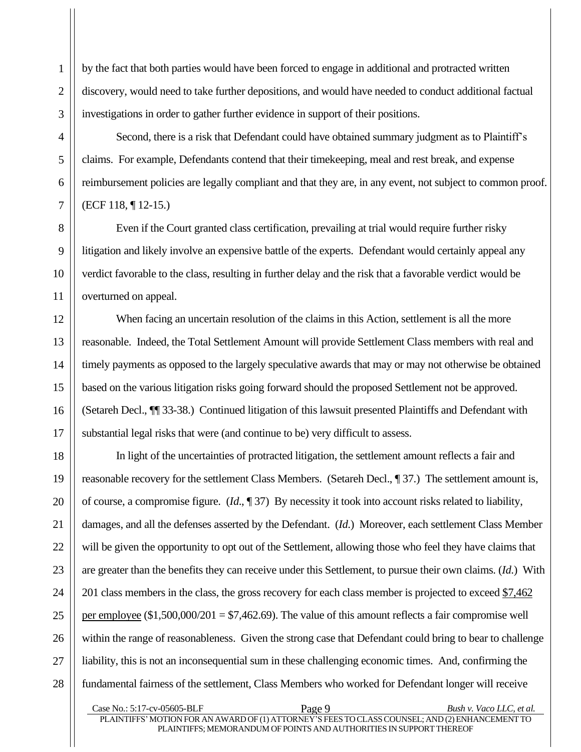by the fact that both parties would have been forced to engage in additional and protracted written discovery, would need to take further depositions, and would have needed to conduct additional factual investigations in order to gather further evidence in support of their positions.

Second, there is a risk that Defendant could have obtained summary judgment as to Plaintiff's claims. For example, Defendants contend that their timekeeping, meal and rest break, and expense reimbursement policies are legally compliant and that they are, in any event, not subject to common proof. (ECF 118, ¶ 12-15.)

Even if the Court granted class certification, prevailing at trial would require further risky litigation and likely involve an expensive battle of the experts. Defendant would certainly appeal any verdict favorable to the class, resulting in further delay and the risk that a favorable verdict would be overturned on appeal.

When facing an uncertain resolution of the claims in this Action, settlement is all the more reasonable. Indeed, the Total Settlement Amount will provide Settlement Class members with real and timely payments as opposed to the largely speculative awards that may or may not otherwise be obtained based on the various litigation risks going forward should the proposed Settlement not be approved. (Setareh Decl., ¶¶ 33-38.) Continued litigation of this lawsuit presented Plaintiffs and Defendant with substantial legal risks that were (and continue to be) very difficult to assess.

In light of the uncertainties of protracted litigation, the settlement amount reflects a fair and reasonable recovery for the settlement Class Members. (Setareh Decl., ¶ 37.) The settlement amount is, of course, a compromise figure. (*Id*., ¶ 37) By necessity it took into account risks related to liability, damages, and all the defenses asserted by the Defendant. (*Id*.) Moreover, each settlement Class Member will be given the opportunity to opt out of the Settlement, allowing those who feel they have claims that are greater than the benefits they can receive under this Settlement, to pursue their own claims. (*Id*.) With 201 class members in the class, the gross recovery for each class member is projected to exceed \$7,462 per employee  $(\$1,500,000/201 = \$7,462.69)$ . The value of this amount reflects a fair compromise well within the range of reasonableness. Given the strong case that Defendant could bring to bear to challenge liability, this is not an inconsequential sum in these challenging economic times. And, confirming the fundamental fairness of the settlement, Class Members who worked for Defendant longer will receive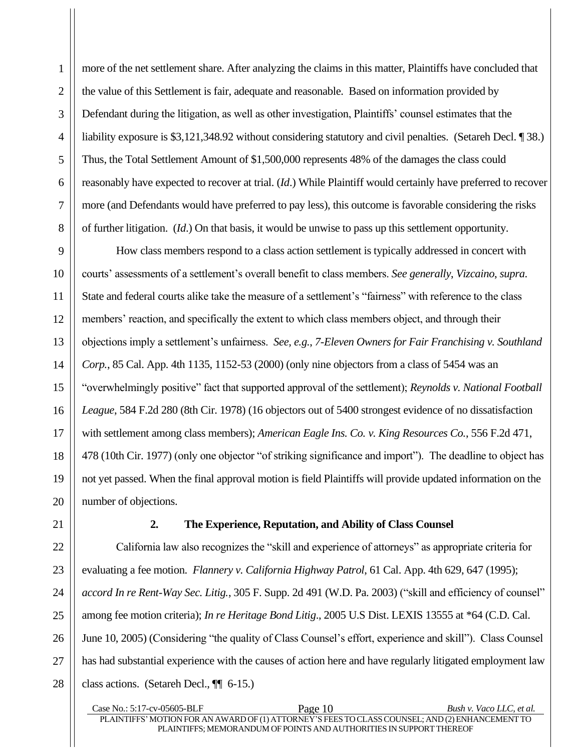more of the net settlement share. After analyzing the claims in this matter, Plaintiffs have concluded that the value of this Settlement is fair, adequate and reasonable. Based on information provided by Defendant during the litigation, as well as other investigation, Plaintiffs' counsel estimates that the liability exposure is \$3,121,348.92 without considering statutory and civil penalties. (Setareh Decl. ¶ 38.) Thus, the Total Settlement Amount of \$1,500,000 represents 48% of the damages the class could reasonably have expected to recover at trial. (*Id*.) While Plaintiff would certainly have preferred to recover more (and Defendants would have preferred to pay less), this outcome is favorable considering the risks of further litigation. (*Id*.) On that basis, it would be unwise to pass up this settlement opportunity.

How class members respond to a class action settlement is typically addressed in concert with courts' assessments of a settlement's overall benefit to class members. *See generally*, *Vizcaino*, *supra*. State and federal courts alike take the measure of a settlement's "fairness" with reference to the class members' reaction, and specifically the extent to which class members object, and through their objections imply a settlement's unfairness. *See, e.g.*, *7-Eleven Owners for Fair Franchising v. Southland Corp.*, 85 Cal. App. 4th 1135, 1152-53 (2000) (only nine objectors from a class of 5454 was an "overwhelmingly positive" fact that supported approval of the settlement); *Reynolds v. National Football League*, 584 F.2d 280 (8th Cir. 1978) (16 objectors out of 5400 strongest evidence of no dissatisfaction with settlement among class members); *American Eagle Ins. Co. v. King Resources Co.*, 556 F.2d 471, 478 (10th Cir. 1977) (only one objector "of striking significance and import"). The deadline to object has not yet passed. When the final approval motion is field Plaintiffs will provide updated information on the number of objections.

<span id="page-14-0"></span>

1 1

2 2

3 3

4 4

5 5

6 6

7 7

8 8

9 9

10 10

11 11

12 12

13 13

14 14

15 15

16 16

17 17

18 18

19 19

20 20

21 21

22 22

23 23

24 24

25 25

26 26

27 27

28 28

# **2. The Experience, Reputation, and Ability of Class Counsel**

California law also recognizes the "skill and experience of attorneys" as appropriate criteria for evaluating a fee motion. *Flannery v. California Highway Patrol*, 61 Cal. App. 4th 629, 647 (1995); *accord In re Rent-Way Sec. Litig.*, 305 F. Supp. 2d 491 (W.D. Pa. 2003) ("skill and efficiency of counsel" among fee motion criteria); *In re Heritage Bond Litig*., 2005 U.S Dist. LEXIS 13555 at \*64 (C.D. Cal. June 10, 2005) (Considering "the quality of Class Counsel's effort, experience and skill"). Class Counsel has had substantial experience with the causes of action here and have regularly litigated employment law class actions. (Setareh Decl., ¶¶ 6-15.)

Case No.: 5:17-cv-05605-BLF Page 10 *Bush v. Vaco LLC, et al.* PLAINTIFFS'MOTION FOR AN AWARD OF (1) ATTORNEY'S FEESTO CLASSCOUNSEL; AND (2)ENHANCEMENTTO PLAINTIFFS; MEMORANDUM OF POINTS AND AUTHORITIES IN SUPPORTTHEREOF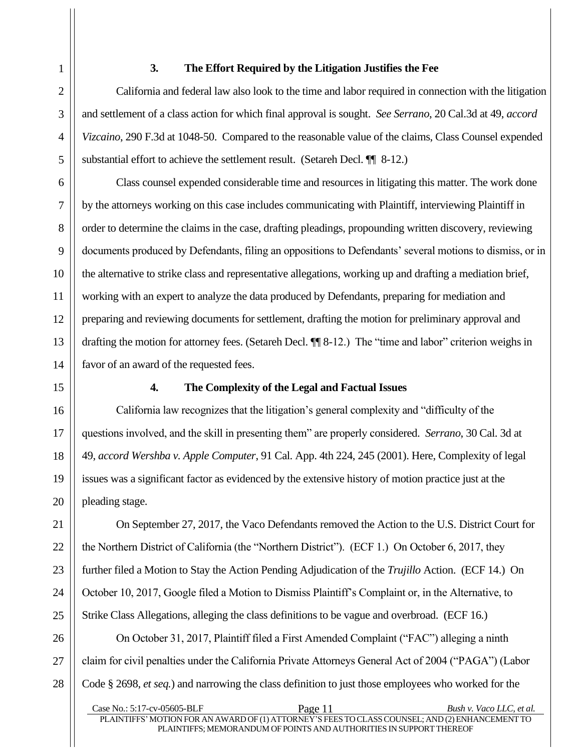# **3. The Effort Required by the Litigation Justifies the Fee**

<span id="page-15-0"></span>California and federal law also look to the time and labor required in connection with the litigation and settlement of a class action for which final approval is sought. *See Serrano*, 20 Cal.3d at 49, *accord Vizcaino*, 290 F.3d at 1048-50. Compared to the reasonable value of the claims, Class Counsel expended substantial effort to achieve the settlement result. (Setareh Decl. ¶ 8-12.)

Class counsel expended considerable time and resources in litigating this matter. The work done by the attorneys working on this case includes communicating with Plaintiff, interviewing Plaintiff in order to determine the claims in the case, drafting pleadings, propounding written discovery, reviewing documents produced by Defendants, filing an oppositions to Defendants' several motions to dismiss, or in the alternative to strike class and representative allegations, working up and drafting a mediation brief, working with an expert to analyze the data produced by Defendants, preparing for mediation and preparing and reviewing documents for settlement, drafting the motion for preliminary approval and drafting the motion for attorney fees. (Setareh Decl. ¶¶ 8-12.) The "time and labor" criterion weighs in favor of an award of the requested fees.

14 14

15 15

16 16

17 17

18 18

19 19

20 20

21 21

22 22

23 23

24 24

25 25

26 26

27 27

28 28

## **4. The Complexity of the Legal and Factual Issues**

<span id="page-15-1"></span>California law recognizes that the litigation's general complexity and "difficulty of the questions involved, and the skill in presenting them" are properly considered. *Serrano*, 30 Cal. 3d at 49, *accord Wershba v. Apple Computer*, 91 Cal. App. 4th 224, 245 (2001). Here, Complexity of legal issues was a significant factor as evidenced by the extensive history of motion practice just at the pleading stage.

On September 27, 2017, the Vaco Defendants removed the Action to the U.S. District Court for the Northern District of California (the "Northern District"). (ECF 1.) On October 6, 2017, they further filed a Motion to Stay the Action Pending Adjudication of the *Trujillo* Action. (ECF 14.) On October 10, 2017, Google filed a Motion to Dismiss Plaintiff's Complaint or, in the Alternative, to Strike Class Allegations, alleging the class definitions to be vague and overbroad. (ECF 16.)

On October 31, 2017, Plaintiff filed a First Amended Complaint ("FAC") alleging a ninth claim for civil penalties under the California Private Attorneys General Act of 2004 ("PAGA") (Labor Code § 2698, *et seq.*) and narrowing the class definition to just those employees who worked for the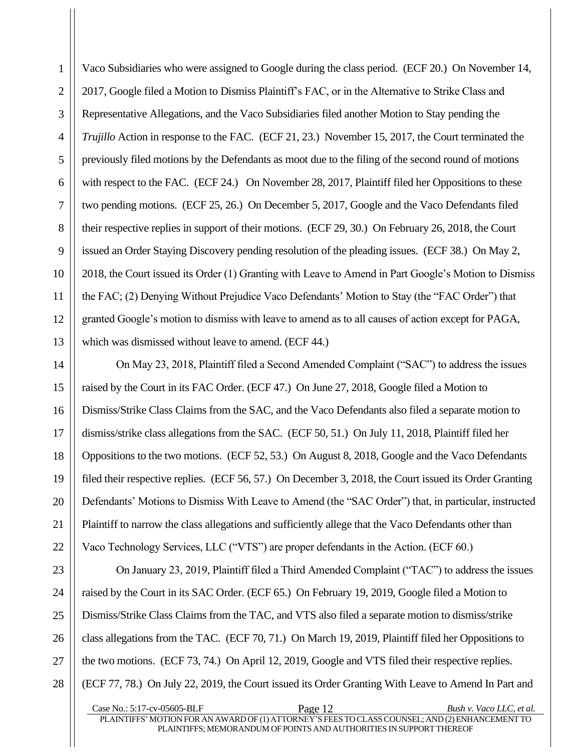Vaco Subsidiaries who were assigned to Google during the class period. (ECF 20.) On November 14, 2017, Google filed a Motion to Dismiss Plaintiff's FAC, or in the Alternative to Strike Class and Representative Allegations, and the Vaco Subsidiaries filed another Motion to Stay pending the *Trujillo* Action in response to the FAC. (ECF 21, 23.) November 15, 2017, the Court terminated the previously filed motions by the Defendants as moot due to the filing of the second round of motions with respect to the FAC. (ECF 24.) On November 28, 2017, Plaintiff filed her Oppositions to these two pending motions. (ECF 25, 26.) On December 5, 2017, Google and the Vaco Defendants filed their respective replies in support of their motions. (ECF 29, 30.) On February 26, 2018, the Court issued an Order Staying Discovery pending resolution of the pleading issues. (ECF 38.) On May 2, 2018, the Court issued its Order (1) Granting with Leave to Amend in Part Google's Motion to Dismiss the FAC; (2) Denying Without Prejudice Vaco Defendants' Motion to Stay (the "FAC Order") that granted Google's motion to dismiss with leave to amend as to all causes of action except for PAGA, which was dismissed without leave to amend. (ECF 44.)

On May 23, 2018, Plaintiff filed a Second Amended Complaint ("SAC") to address the issues raised by the Court in its FAC Order. (ECF 47.) On June 27, 2018, Google filed a Motion to Dismiss/Strike Class Claims from the SAC, and the Vaco Defendants also filed a separate motion to dismiss/strike class allegations from the SAC. (ECF 50, 51.) On July 11, 2018, Plaintiff filed her Oppositions to the two motions. (ECF 52, 53.) On August 8, 2018, Google and the Vaco Defendants filed their respective replies. (ECF 56, 57.) On December 3, 2018, the Court issued its Order Granting Defendants' Motions to Dismiss With Leave to Amend (the "SAC Order") that, in particular, instructed Plaintiff to narrow the class allegations and sufficiently allege that the Vaco Defendants other than Vaco Technology Services, LLC ("VTS") are proper defendants in the Action. (ECF 60.)

On January 23, 2019, Plaintiff filed a Third Amended Complaint ("TAC") to address the issues raised by the Court in its SAC Order. (ECF 65.) On February 19, 2019, Google filed a Motion to Dismiss/Strike Class Claims from the TAC, and VTS also filed a separate motion to dismiss/strike class allegations from the TAC. (ECF 70, 71.) On March 19, 2019, Plaintiff filed her Oppositions to the two motions. (ECF 73, 74.) On April 12, 2019, Google and VTS filed their respective replies. (ECF 77, 78.) On July 22, 2019, the Court issued its Order Granting With Leave to Amend In Part and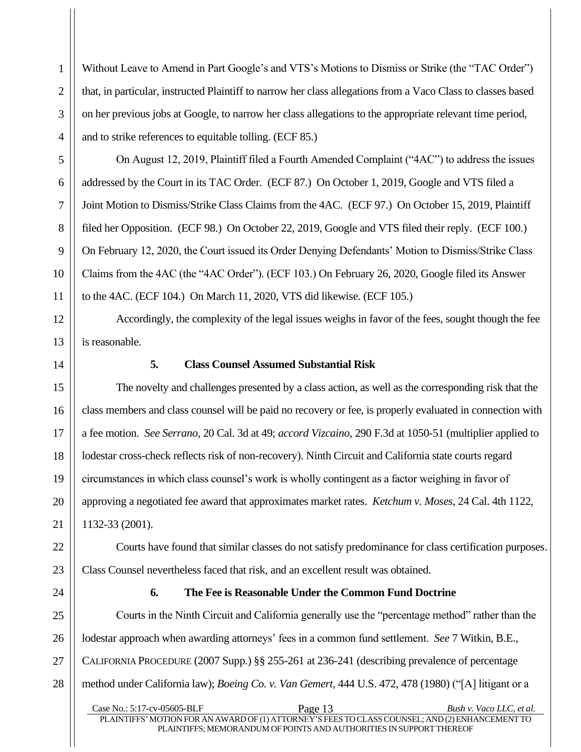Without Leave to Amend in Part Google's and VTS's Motions to Dismiss or Strike (the "TAC Order") that, in particular, instructed Plaintiff to narrow her class allegations from a Vaco Class to classes based on her previous jobs at Google, to narrow her class allegations to the appropriate relevant time period, and to strike references to equitable tolling. (ECF 85.)

On August 12, 2019, Plaintiff filed a Fourth Amended Complaint ("4AC") to address the issues addressed by the Court in its TAC Order. (ECF 87.) On October 1, 2019, Google and VTS filed a Joint Motion to Dismiss/Strike Class Claims from the 4AC. (ECF 97.) On October 15, 2019, Plaintiff filed her Opposition. (ECF 98.) On October 22, 2019, Google and VTS filed their reply. (ECF 100.) On February 12, 2020, the Court issued its Order Denying Defendants' Motion to Dismiss/Strike Class Claims from the 4AC (the "4AC Order"). (ECF 103.) On February 26, 2020, Google filed its Answer to the 4AC. (ECF 104.) On March 11, 2020, VTS did likewise. (ECF 105.)

Accordingly, the complexity of the legal issues weighs in favor of the fees, sought though the fee is reasonable.

<span id="page-17-0"></span>

1 1

2 2

3 3

4 4

5 5

6 6

7 7

8 8

9 9

10 10

11 11

12 12

13 13

14 14

15 15

16 16

17 17

18 18

19 19

20 20

21 21

22 22

23 23

24 24

25 25

26 26

27 27

28 28

#### **5. Class Counsel Assumed Substantial Risk**

The novelty and challenges presented by a class action, as well as the corresponding risk that the class members and class counsel will be paid no recovery or fee, is properly evaluated in connection with a fee motion. *See Serrano*, 20 Cal. 3d at 49; *accord Vizcaino*, 290 F.3d at 1050-51 (multiplier applied to lodestar cross-check reflects risk of non-recovery). Ninth Circuit and California state courts regard circumstances in which class counsel's work is wholly contingent as a factor weighing in favor of approving a negotiated fee award that approximates market rates. *Ketchum v. Moses*, 24 Cal. 4th 1122, 1132-33 (2001).

Courts have found that similar classes do not satisfy predominance for class certification purposes. Class Counsel nevertheless faced that risk, and an excellent result was obtained.

<span id="page-17-1"></span>

#### **6. The Fee is Reasonable Under the Common Fund Doctrine**

Courts in the Ninth Circuit and California generally use the "percentage method" rather than the lodestar approach when awarding attorneys' fees in a common fund settlement. *See* 7 Witkin, B.E., CALIFORNIA PROCEDURE (2007 Supp.) §§ 255-261 at 236-241 (describing prevalence of percentage method under California law); *Boeing Co. v. Van Gemert*, 444 U.S. 472, 478 (1980) ("[A] litigant or a

Case No.: 5:17-cv-05605-BLF Page 13 *Bush v. Vaco LLC, et al.* PLAINTIFFS'MOTION FOR AN AWARD OF (1) ATTORNEY'S FEESTO CLASSCOUNSEL; AND (2)ENHANCEMENTTO PLAINTIFFS; MEMORANDUM OF POINTS AND AUTHORITIES IN SUPPORTTHEREOF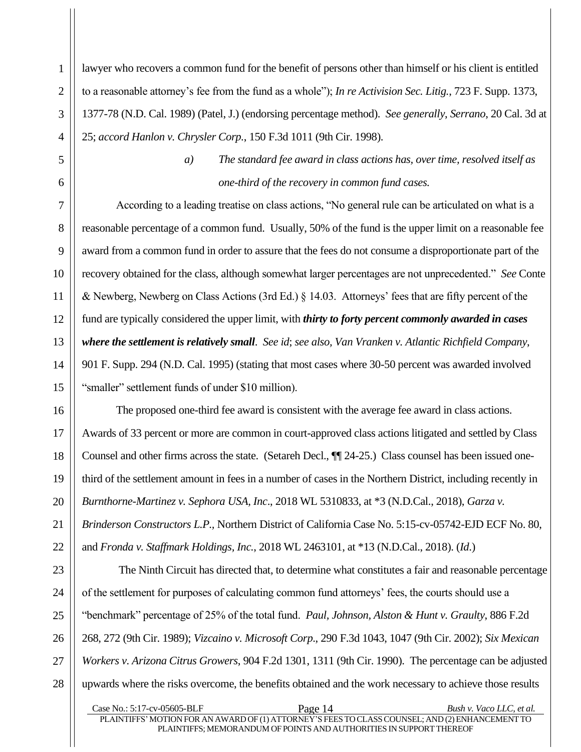lawyer who recovers a common fund for the benefit of persons other than himself or his client is entitled to a reasonable attorney's fee from the fund as a whole"); *In re Activision Sec. Litig.*, 723 F. Supp. 1373, 1377-78 (N.D. Cal. 1989) (Patel, J.) (endorsing percentage method). *See generally*, *Serrano*, 20 Cal. 3d at 25; *accord Hanlon v. Chrysler Corp.*, 150 F.3d 1011 (9th Cir. 1998).

<span id="page-18-0"></span>

1 1

*a) The standard fee award in class actions has, over time, resolved itself as one-third of the recovery in common fund cases.*

According to a leading treatise on class actions, "No general rule can be articulated on what is a reasonable percentage of a common fund. Usually, 50% of the fund is the upper limit on a reasonable fee award from a common fund in order to assure that the fees do not consume a disproportionate part of the recovery obtained for the class, although somewhat larger percentages are not unprecedented." *See* Conte & Newberg, Newberg on Class Actions (3rd Ed.) § 14.03. Attorneys' fees that are fifty percent of the fund are typically considered the upper limit, with *thirty to forty percent commonly awarded in cases where the settlement is relatively small*. *See id*; *see also, Van Vranken v. Atlantic Richfield Company*, 901 F. Supp. 294 (N.D. Cal. 1995) (stating that most cases where 30-50 percent was awarded involved "smaller" settlement funds of under \$10 million).

The proposed one-third fee award is consistent with the average fee award in class actions. Awards of 33 percent or more are common in court-approved class actions litigated and settled by Class Counsel and other firms across the state. (Setareh Decl., ¶¶ 24-25.) Class counsel has been issued onethird of the settlement amount in fees in a number of cases in the Northern District, including recently in *Burnthorne-Martinez v. Sephora USA, Inc*., 2018 WL 5310833, at \*3 (N.D.Cal., 2018), *Garza v. Brinderson Constructors L.P.,* Northern District of California Case No. 5:15-cv-05742-EJD ECF No. 80, and *Fronda v. Staffmark Holdings, Inc.*, 2018 WL 2463101, at \*13 (N.D.Cal., 2018). (*Id*.)

The Ninth Circuit has directed that, to determine what constitutes a fair and reasonable percentage of the settlement for purposes of calculating common fund attorneys' fees, the courts should use a "benchmark" percentage of 25% of the total fund. *Paul, Johnson, Alston & Hunt v. Graulty*, 886 F.2d 268, 272 (9th Cir. 1989); *Vizcaino v. Microsoft Corp*., 290 F.3d 1043, 1047 (9th Cir. 2002); *Six Mexican Workers v. Arizona Citrus Growers*, 904 F.2d 1301, 1311 (9th Cir. 1990). The percentage can be adjusted upwards where the risks overcome, the benefits obtained and the work necessary to achieve those results

Case No.: 5:17-cv-05605-BLF Page 14 *Bush v. Vaco LLC, et al.* PLAINTIFFS'MOTION FOR AN AWARD OF (1) ATTORNEY'S FEESTO CLASSCOUNSEL; AND (2)ENHANCEMENTTO PLAINTIFFS; MEMORANDUM OF POINTS AND AUTHORITIES IN SUPPORTTHEREOF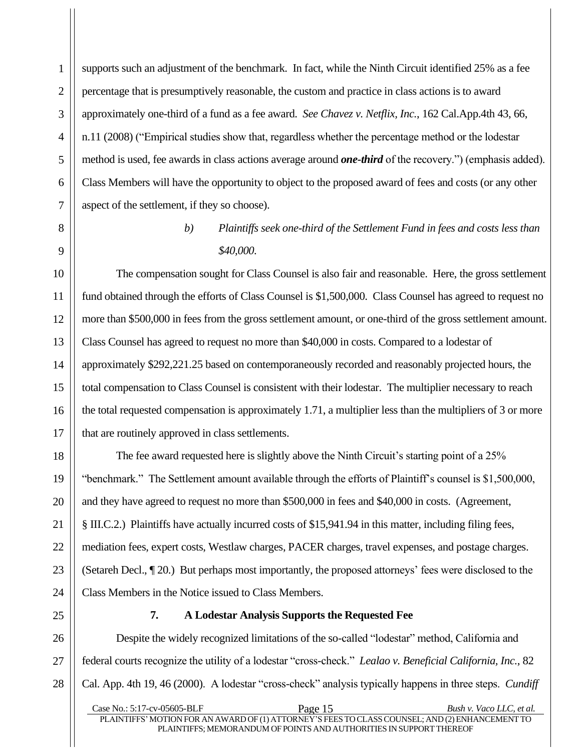supports such an adjustment of the benchmark. In fact, while the Ninth Circuit identified 25% as a fee percentage that is presumptively reasonable, the custom and practice in class actions is to award approximately one-third of a fund as a fee award. *See Chavez v. Netflix, Inc.*, 162 Cal.App.4th 43, 66, n.11 (2008) ("Empirical studies show that, regardless whether the percentage method or the lodestar method is used, fee awards in class actions average around *one-third* of the recovery.") (emphasis added). Class Members will have the opportunity to object to the proposed award of fees and costs (or any other aspect of the settlement, if they so choose).

> *b) Plaintiffs seek one-third of the Settlement Fund in fees and costs less than \$40,000.*

<span id="page-19-0"></span>The compensation sought for Class Counsel is also fair and reasonable. Here, the gross settlement fund obtained through the efforts of Class Counsel is \$1,500,000. Class Counsel has agreed to request no more than \$500,000 in fees from the gross settlement amount, or one-third of the gross settlement amount. Class Counsel has agreed to request no more than \$40,000 in costs. Compared to a lodestar of approximately \$292,221.25 based on contemporaneously recorded and reasonably projected hours, the total compensation to Class Counsel is consistent with their lodestar. The multiplier necessary to reach the total requested compensation is approximately 1.71, a multiplier less than the multipliers of 3 or more that are routinely approved in class settlements.

The fee award requested here is slightly above the Ninth Circuit's starting point of a 25% "benchmark." The Settlement amount available through the efforts of Plaintiff's counsel is \$1,500,000, and they have agreed to request no more than \$500,000 in fees and \$40,000 in costs. (Agreement, § III.C.2.) Plaintiffs have actually incurred costs of \$15,941.94 in this matter, including filing fees, mediation fees, expert costs, Westlaw charges, PACER charges, travel expenses, and postage charges. (Setareh Decl., ¶ 20.) But perhaps most importantly, the proposed attorneys' fees were disclosed to the Class Members in the Notice issued to Class Members.

<span id="page-19-1"></span>

# **7. A Lodestar Analysis Supports the Requested Fee**

Despite the widely recognized limitations of the so-called "lodestar" method, California and federal courts recognize the utility of a lodestar "cross-check." *Lealao v. Beneficial California, Inc.*, 82 Cal. App. 4th 19, 46 (2000). A lodestar "cross-check" analysis typically happens in three steps. *Cundiff*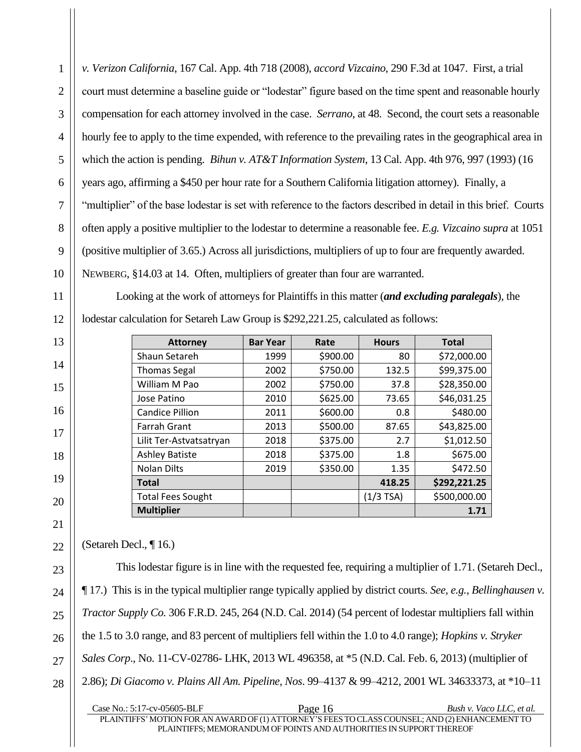*v. Verizon California*, 167 Cal. App. 4th 718 (2008), *accord Vizcaino*, 290 F.3d at 1047. First, a trial court must determine a baseline guide or "lodestar" figure based on the time spent and reasonable hourly compensation for each attorney involved in the case. *Serrano*, at 48. Second, the court sets a reasonable hourly fee to apply to the time expended, with reference to the prevailing rates in the geographical area in which the action is pending. *Bihun v. AT&T Information System*, 13 Cal. App. 4th 976, 997 (1993) (16 years ago, affirming a \$450 per hour rate for a Southern California litigation attorney). Finally, a "multiplier" of the base lodestar is set with reference to the factors described in detail in this brief. Courts often apply a positive multiplier to the lodestar to determine a reasonable fee. *E.g. Vizcaino supra* at 1051 (positive multiplier of 3.65.) Across all jurisdictions, multipliers of up to four are frequently awarded. NEWBERG, §14.03 at 14. Often, multipliers of greater than four are warranted.

Looking at the work of attorneys for Plaintiffs in this matter (*and excluding paralegals*), the lodestar calculation for Setareh Law Group is \$292,221.25, calculated as follows:

| <b>Attorney</b>          | <b>Bar Year</b> | Rate     | <b>Hours</b> | <b>Total</b> |
|--------------------------|-----------------|----------|--------------|--------------|
| Shaun Setareh            | 1999            | \$900.00 | 80           | \$72,000.00  |
| <b>Thomas Segal</b>      | 2002            | \$750.00 | 132.5        | \$99,375.00  |
| William M Pao            | 2002            | \$750.00 | 37.8         | \$28,350.00  |
| Jose Patino              | 2010            | \$625.00 | 73.65        | \$46,031.25  |
| <b>Candice Pillion</b>   | 2011            | \$600.00 | 0.8          | \$480.00     |
| <b>Farrah Grant</b>      | 2013            | \$500.00 | 87.65        | \$43,825.00  |
| Lilit Ter-Astvatsatryan  | 2018            | \$375.00 | 2.7          | \$1,012.50   |
| <b>Ashley Batiste</b>    | 2018            | \$375.00 | 1.8          | \$675.00     |
| <b>Nolan Dilts</b>       | 2019            | \$350.00 | 1.35         | \$472.50     |
| <b>Total</b>             |                 |          | 418.25       | \$292,221.25 |
| <b>Total Fees Sought</b> |                 |          | $(1/3$ TSA)  | \$500,000.00 |
| <b>Multiplier</b>        |                 |          |              | 1.71         |

(Setareh Decl., ¶ 16.)

This lodestar figure is in line with the requested fee, requiring a multiplier of 1.71. (Setareh Decl., ¶ 17.) This is in the typical multiplier range typically applied by district courts. *See, e.g., Bellinghausen v. Tractor Supply Co.* 306 F.R.D. 245, 264 (N.D. Cal. 2014) (54 percent of lodestar multipliers fall within the 1.5 to 3.0 range, and 83 percent of multipliers fell within the 1.0 to 4.0 range); *Hopkins v. Stryker Sales Corp*., No. 11-CV-02786- LHK, 2013 WL 496358, at \*5 (N.D. Cal. Feb. 6, 2013) (multiplier of 2.86); *Di Giacomo v. Plains All Am. Pipeline, Nos*. 99–4137 & 99–4212, 2001 WL 34633373, at \*10–11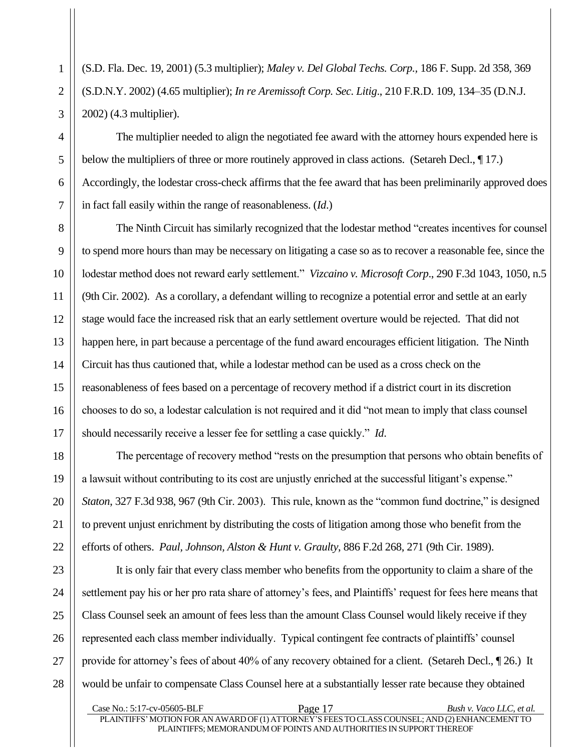(S.D. Fla. Dec. 19, 2001) (5.3 multiplier); *Maley v. Del Global Techs. Corp.,* 186 F. Supp. 2d 358, 369 (S.D.N.Y. 2002) (4.65 multiplier); *In re Aremissoft Corp. Sec. Litig*., 210 F.R.D. 109, 134–35 (D.N.J. 2002) (4.3 multiplier).

The multiplier needed to align the negotiated fee award with the attorney hours expended here is below the multipliers of three or more routinely approved in class actions. (Setareh Decl.,  $\P$ 17.) Accordingly, the lodestar cross-check affirms that the fee award that has been preliminarily approved does in fact fall easily within the range of reasonableness. (*Id*.)

The Ninth Circuit has similarly recognized that the lodestar method "creates incentives for counsel to spend more hours than may be necessary on litigating a case so as to recover a reasonable fee, since the lodestar method does not reward early settlement." *Vizcaino v. Microsoft Corp*., 290 F.3d 1043, 1050, n.5 (9th Cir. 2002). As a corollary, a defendant willing to recognize a potential error and settle at an early stage would face the increased risk that an early settlement overture would be rejected. That did not happen here, in part because a percentage of the fund award encourages efficient litigation. The Ninth Circuit has thus cautioned that, while a lodestar method can be used as a cross check on the reasonableness of fees based on a percentage of recovery method if a district court in its discretion chooses to do so, a lodestar calculation is not required and it did "not mean to imply that class counsel should necessarily receive a lesser fee for settling a case quickly." *Id*.

The percentage of recovery method "rests on the presumption that persons who obtain benefits of a lawsuit without contributing to its cost are unjustly enriched at the successful litigant's expense." *Staton*, 327 F.3d 938, 967 (9th Cir. 2003). This rule, known as the "common fund doctrine," is designed to prevent unjust enrichment by distributing the costs of litigation among those who benefit from the efforts of others. *Paul, Johnson, Alston & Hunt v. Graulty*, 886 F.2d 268, 271 (9th Cir. 1989).

It is only fair that every class member who benefits from the opportunity to claim a share of the settlement pay his or her pro rata share of attorney's fees, and Plaintiffs' request for fees here means that Class Counsel seek an amount of fees less than the amount Class Counsel would likely receive if they represented each class member individually. Typical contingent fee contracts of plaintiffs' counsel provide for attorney's fees of about 40% of any recovery obtained for a client. (Setareh Decl., ¶ 26.) It would be unfair to compensate Class Counsel here at a substantially lesser rate because they obtained

Case No.: 5:17-cv-05605-BLF Page 17 *Bush v. Vaco LLC, et al.* PLAINTIFFS' MOTION FOR AN AWARD OF (1) ATTORNEY'S FEES TO CLASS COUNSEL; AND (2) ENHANCEMENT TO PLAINTIFFS; MEMORANDUM OF POINTS AND AUTHORITIES IN SUPPORTTHEREOF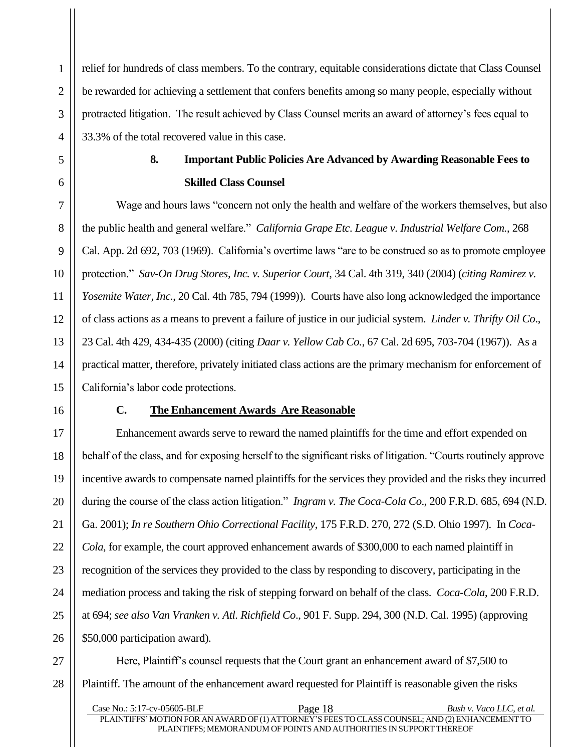relief for hundreds of class members. To the contrary, equitable considerations dictate that Class Counsel be rewarded for achieving a settlement that confers benefits among so many people, especially without protracted litigation. The result achieved by Class Counsel merits an award of attorney's fees equal to 33.3% of the total recovered value in this case.

# **8. Important Public Policies Are Advanced by Awarding Reasonable Fees to Skilled Class Counsel**

<span id="page-22-0"></span>Wage and hours laws "concern not only the health and welfare of the workers themselves, but also the public health and general welfare." *California Grape Etc. League v. Industrial Welfare Com.*, 268 Cal. App. 2d 692, 703 (1969). California's overtime laws "are to be construed so as to promote employee protection." *Sav-On Drug Stores, Inc. v. Superior Court*, 34 Cal. 4th 319, 340 (2004) (*citing Ramirez v. Yosemite Water, Inc.*, 20 Cal. 4th 785, 794 (1999)). Courts have also long acknowledged the importance of class actions as a means to prevent a failure of justice in our judicial system. *Linder v. Thrifty Oil Co*., 23 Cal. 4th 429, 434-435 (2000) (citing *Daar v. Yellow Cab Co.*, 67 Cal. 2d 695, 703-704 (1967)). As a practical matter, therefore, privately initiated class actions are the primary mechanism for enforcement of California's labor code protections.

<span id="page-22-1"></span>

## **C. The Enhancement Awards Are Reasonable**

Enhancement awards serve to reward the named plaintiffs for the time and effort expended on behalf of the class, and for exposing herself to the significant risks of litigation. "Courts routinely approve incentive awards to compensate named plaintiffs for the services they provided and the risks they incurred during the course of the class action litigation." *Ingram v. The Coca-Cola Co*., 200 F.R.D. 685, 694 (N.D. Ga. 2001); *In re Southern Ohio Correctional Facility*, 175 F.R.D. 270, 272 (S.D. Ohio 1997). In *Coca-Cola*, for example, the court approved enhancement awards of \$300,000 to each named plaintiff in recognition of the services they provided to the class by responding to discovery, participating in the mediation process and taking the risk of stepping forward on behalf of the class. *Coca-Cola*, 200 F.R.D. at 694; *see also Van Vranken v. Atl. Richfield Co*., 901 F. Supp. 294, 300 (N.D. Cal. 1995) (approving \$50,000 participation award).

Here, Plaintiff's counsel requests that the Court grant an enhancement award of \$7,500 to Plaintiff. The amount of the enhancement award requested for Plaintiff is reasonable given the risks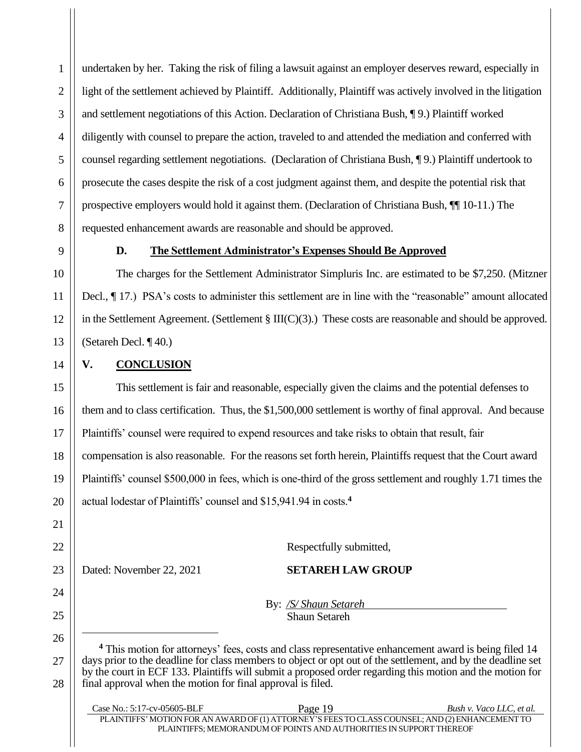undertaken by her. Taking the risk of filing a lawsuit against an employer deserves reward, especially in light of the settlement achieved by Plaintiff. Additionally, Plaintiff was actively involved in the litigation and settlement negotiations of this Action. Declaration of Christiana Bush, ¶ 9.) Plaintiff worked diligently with counsel to prepare the action, traveled to and attended the mediation and conferred with counsel regarding settlement negotiations. (Declaration of Christiana Bush, ¶ 9.) Plaintiff undertook to prosecute the cases despite the risk of a cost judgment against them, and despite the potential risk that prospective employers would hold it against them. (Declaration of Christiana Bush, ¶¶ 10-11.) The requested enhancement awards are reasonable and should be approved.

# **D. The Settlement Administrator's Expenses Should Be Approved**

The charges for the Settlement Administrator Simpluris Inc. are estimated to be \$7,250. (Mitzner Decl., ¶ 17.) PSA's costs to administer this settlement are in line with the "reasonable" amount allocated in the Settlement Agreement. (Settlement § III(C)(3).) These costs are reasonable and should be approved. (Setareh Decl. ¶ 40.)

# <span id="page-23-0"></span>**V. CONCLUSION**

1 1

2 2

3 3

4 4

5 5

6 6

7 7

8 8

9 9

10 10

11 11

12 12

13 13

14 14

15 15

16 16

17 17

18 18

19 19

20 20

21 21

22 22

24 24

25 25

26 26

27 27

28 28

This settlement is fair and reasonable, especially given the claims and the potential defenses to them and to class certification. Thus, the \$1,500,000 settlement is worthy of final approval. And because Plaintiffs' counsel were required to expend resources and take risks to obtain that result, fair compensation is also reasonable. For the reasons set forth herein, Plaintiffs request that the Court award Plaintiffs' counsel \$500,000 in fees, which is one-third of the gross settlement and roughly 1.71 times the actual lodestar of Plaintiffs' counsel and \$15,941.94 in costs.**<sup>4</sup>**

23 23

Respectfully submitted,

Dated: November 22, 2021 **SETAREH LAW GROUP** 

By: */S/ Shaun Setareh* Shaun Setareh

**<sup>4</sup>** This motion for attorneys' fees, costs and class representative enhancement award is being filed 14 days prior to the deadline for class members to object or opt out of the settlement, and by the deadline set by the court in ECF 133. Plaintiffs will submit a proposed order regarding this motion and the motion for final approval when the motion for final approval is filed.

| Case No.: 5:17-cv-05605-BLF                                                                     | Page 19                                                             | Bush v. Vaco LLC, et al. |
|-------------------------------------------------------------------------------------------------|---------------------------------------------------------------------|--------------------------|
| PLAINTIFFS' MOTION FOR AN AWARD OF (1) ATTORNEY'S FEES TO CLASS COUNSEL; AND (2) ENHANCEMENT TO |                                                                     |                          |
|                                                                                                 | PLAINTIFFS: MEMORANDUM OF POINTS AND AUTHORITIES IN SUPPORT THEREOF |                          |